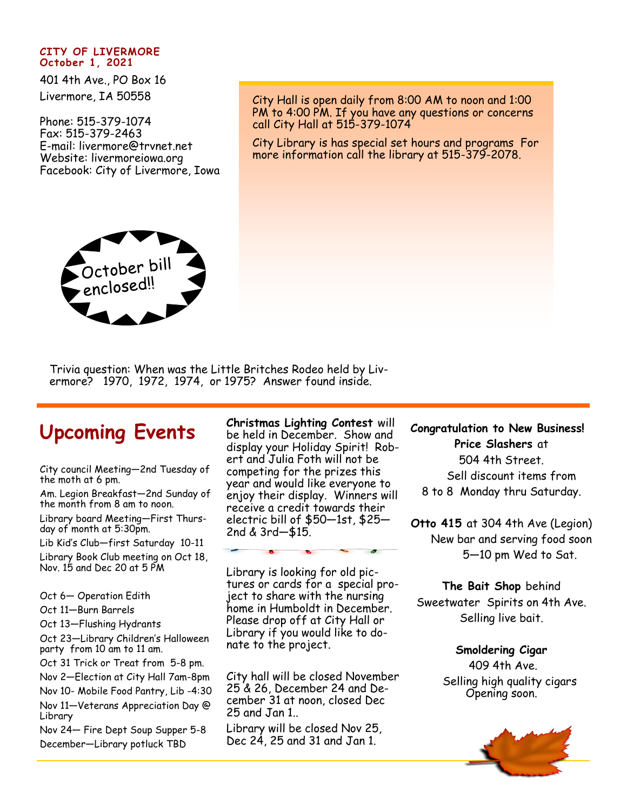## **CITY OF LIVERMORE October 1, 2021**

401 4th Ave., PO Box 16 Livermore, IA 50558

Phone: 515-379-1074 Fax: 515-379-2463 E-mail: livermore@trvnet.net Website: livermoreiowa.org Facebook: City of Livermore, Iowa City Hall is open daily from 8:00 AM to noon and 1:00 PM to 4:00 PM. If you have any questions or concerns call City Hall at 515-379-1074

City Library is has special set hours and programs For more information call the library at 515-379-2078.



Trivia question: When was the Little Britches Rodeo held by Livermore? 1970, 1972, 1974, or 1975? Answer found inside.

## **Upcoming Events**

City council Meeting—2nd Tuesday of the moth at 6 pm.

Am. Legion Breakfast—2nd Sunday of the month from 8 am to noon.

Library board Meeting—First Thursday of month at 5:30pm.

Lib Kid's Club—first Saturday 10-11

Library Book Club meeting on Oct 18, Nov. 15 and Dec 20 at 5 PM

Oct 6— Operation Edith

Oct 11—Burn Barrels

Oct 13—Flushing Hydrants

Oct 23—Library Children's Halloween party from 10 am to 11 am.

Oct 31 Trick or Treat from 5-8 pm.

Nov 2—Election at City Hall 7am-8pm

Nov 10- Mobile Food Pantry, Lib -4:30 Nov 11—Veterans Appreciation Day @ Library

Nov 24— Fire Dept Soup Supper 5-8 December—Library potluck TBD

**Christmas Lighting Contest** will be held in December. Show and display your Holiday Spirit! Robert and Julia Foth will not be competing for the prizes this year and would like everyone to enjoy their display. Winners will receive a credit towards their electric bill of \$50—1st, \$25— 2nd & 3rd—\$15.

Library is looking for old pictures or cards for a special project to share with the nursing home in Humboldt in December. Please drop off at City Hall or Library if you would like to donate to the project.

City hall will be closed November 25 & 26, December 24 and December 31 at noon, closed Dec 25 and Jan 1..

Library will be closed Nov 25, Dec 24, 25 and 31 and Jan 1.

**Congratulation to New Business! Price Slashers** at 504 4th Street. Sell discount items from 8 to 8 Monday thru Saturday.

**Otto 415** at 304 4th Ave (Legion) New bar and serving food soon 5—10 pm Wed to Sat.

**The Bait Shop** behind Sweetwater Spirits on 4th Ave. Selling live bait.

> **Smoldering Cigar** 409 4th Ave. Selling high quality cigars Opening soon.

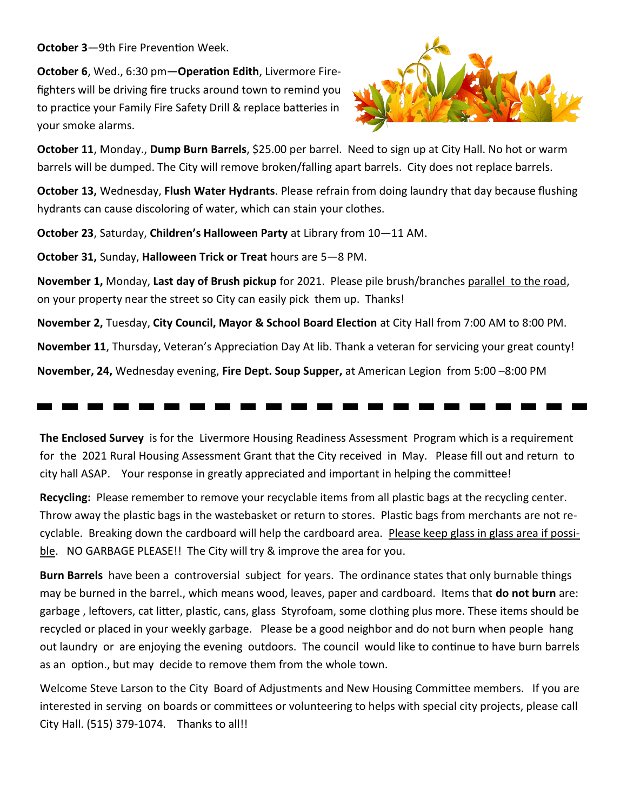**October 3**—9th Fire Prevention Week.

**October 6**, Wed., 6:30 pm—**Operation Edith**, Livermore Firefighters will be driving fire trucks around town to remind you to practice your Family Fire Safety Drill & replace batteries in your smoke alarms.



**October 11**, Monday., **Dump Burn Barrels**, \$25.00 per barrel. Need to sign up at City Hall. No hot or warm barrels will be dumped. The City will remove broken/falling apart barrels. City does not replace barrels.

**October 13,** Wednesday, **Flush Water Hydrants**. Please refrain from doing laundry that day because flushing hydrants can cause discoloring of water, which can stain your clothes.

**October 23**, Saturday, **Children's Halloween Party** at Library from 10—11 AM.

**October 31,** Sunday, **Halloween Trick or Treat** hours are 5—8 PM.

**November 1,** Monday, **Last day of Brush pickup** for 2021. Please pile brush/branches parallel to the road, on your property near the street so City can easily pick them up. Thanks!

**November 2,** Tuesday, **City Council, Mayor & School Board Election** at City Hall from 7:00 AM to 8:00 PM.

**November 11**, Thursday, Veteran's Appreciation Day At lib. Thank a veteran for servicing your great county!

**November, 24,** Wednesday evening, **Fire Dept. Soup Supper,** at American Legion from 5:00 –8:00 PM

## 

**The Enclosed Survey** is for the Livermore Housing Readiness Assessment Program which is a requirement for the 2021 Rural Housing Assessment Grant that the City received in May. Please fill out and return to city hall ASAP. Your response in greatly appreciated and important in helping the committee!

**Recycling:** Please remember to remove your recyclable items from all plastic bags at the recycling center. Throw away the plastic bags in the wastebasket or return to stores. Plastic bags from merchants are not recyclable. Breaking down the cardboard will help the cardboard area. Please keep glass in glass area if possible. NO GARBAGE PLEASE!! The City will try & improve the area for you.

**Burn Barrels** have been a controversial subject for years. The ordinance states that only burnable things may be burned in the barrel., which means wood, leaves, paper and cardboard. Items that **do not burn** are: garbage , leftovers, cat litter, plastic, cans, glass Styrofoam, some clothing plus more. These items should be recycled or placed in your weekly garbage. Please be a good neighbor and do not burn when people hang out laundry or are enjoying the evening outdoors. The council would like to continue to have burn barrels as an option., but may decide to remove them from the whole town.

Welcome Steve Larson to the City Board of Adjustments and New Housing Committee members. If you are interested in serving on boards or committees or volunteering to helps with special city projects, please call City Hall. (515) 379-1074. Thanks to all!!